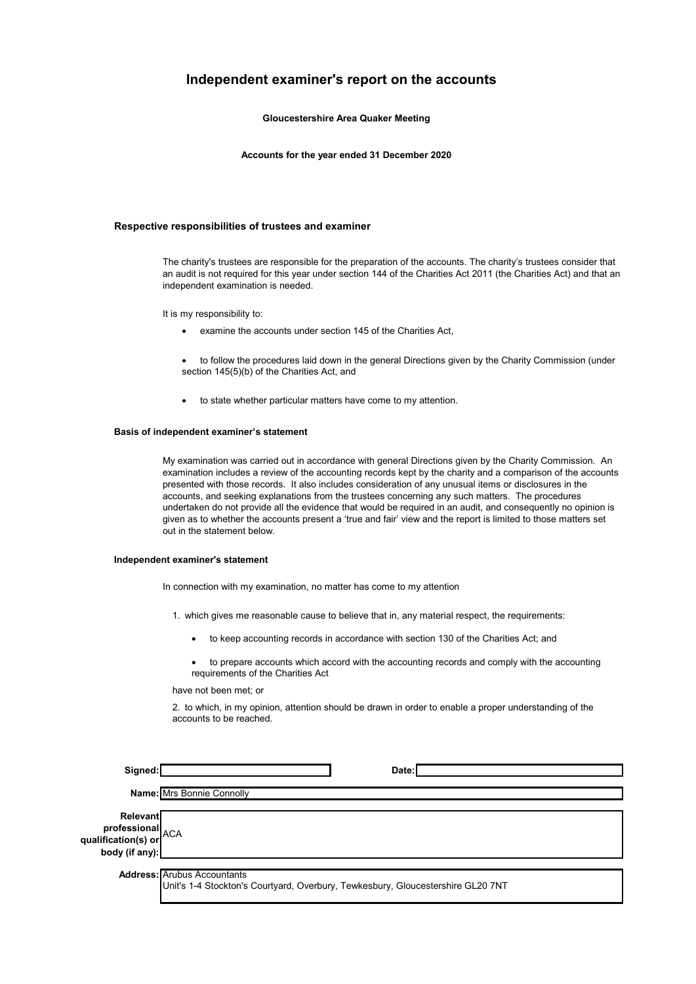### **Independent examiner's report on the accounts**

**Gloucestershire Area Quaker Meeting**

**Accounts for the year ended 31 December 2020**

### **Respective responsibilities of trustees and examiner**

The charity's trustees are responsible for the preparation of the accounts. The charity's trustees consider that an audit is not required for this year under section 144 of the Charities Act 2011 (the Charities Act) and that an independent examination is needed.

It is my responsibility to:

- examine the accounts under section 145 of the Charities Act,
- to follow the procedures laid down in the general Directions given by the Charity Commission (under section 145(5)(b) of the Charities Act, and
- to state whether particular matters have come to my attention.

### **Basis of independent examiner's statement**

My examination was carried out in accordance with general Directions given by the Charity Commission. An examination includes a review of the accounting records kept by the charity and a comparison of the accounts presented with those records. It also includes consideration of any unusual items or disclosures in the accounts, and seeking explanations from the trustees concerning any such matters. The procedures undertaken do not provide all the evidence that would be required in an audit, and consequently no opinion is given as to whether the accounts present a 'true and fair' view and the report is limited to those matters set out in the statement below.

### **Independent examiner's statement**

**qua** 

In connection with my examination, no matter has come to my attention

- 1. which gives me reasonable cause to believe that in, any material respect, the requirements:
	- to keep accounting records in accordance with section 130 of the Charities Act; and
	- to prepare accounts which accord with the accounting records and comply with the accounting requirements of the Charities Act

have not been met; or

2. to which, in my opinion, attention should be drawn in order to enable a proper understanding of the accounts to be reached.

| Signed:                                                        | Date:                                                                                                                 |
|----------------------------------------------------------------|-----------------------------------------------------------------------------------------------------------------------|
|                                                                | Name: Mrs Bonnie Connolly                                                                                             |
| Relevant<br>professional<br>lification(s) or<br>body (if any): |                                                                                                                       |
|                                                                | <b>Address: Arubus Accountants</b><br>Unit's 1-4 Stockton's Courtyard, Overbury, Tewkesbury, Gloucestershire GL20 7NT |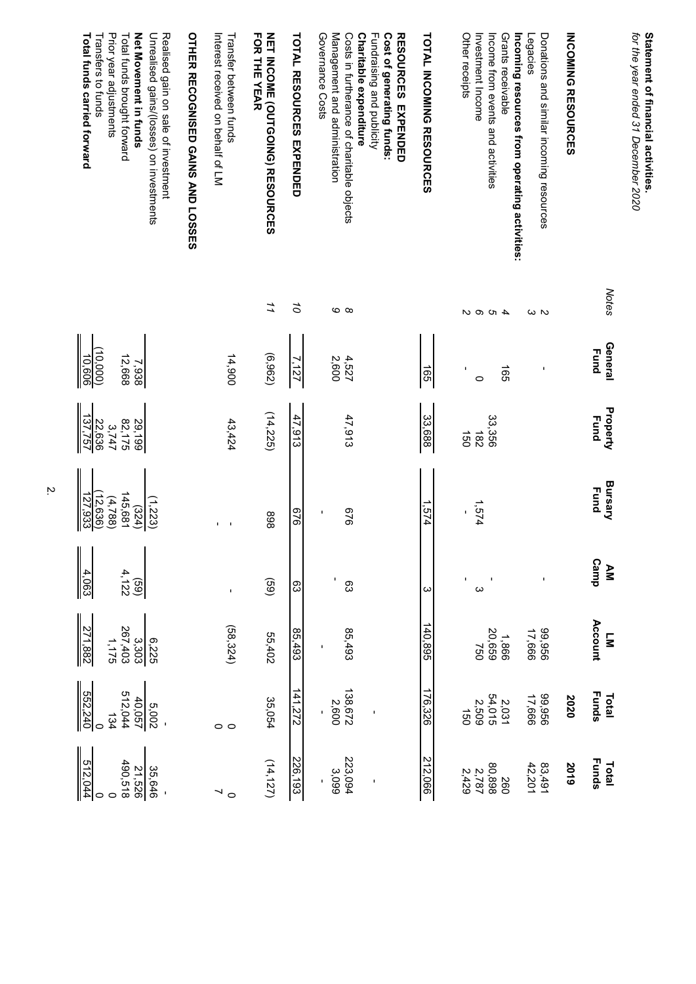| Prior year adjustments<br>Net Movement in funds<br>Unrealised gains/(losses) on investments<br>Realised gain on sale of investment<br>Total funds carried forward<br>Total funds brought forward<br>Transfers to funds | OTHER RECOGNISED GAINS AND LOSSES<br>Interest received on behalf of LM<br>Transfer between funds | FOR THE YEAR<br><b>NET INCOME (OUTGOING) RESOURCES</b> | <b>TOTAL RESOURCES EXPENDED</b> | Cost of generating funds:<br>Governance Costs<br>Management and administration<br>Costs in furtherance of charitable objects<br>Charitable expenditure<br>Fundraising and publicity<br><b>RESOURCES EXPENDED</b> | TOTAL INCOMING RESOURCES | Other receipts<br>Investment Income<br>Grants receivable<br>Incoming resources from operating activities:<br>Income from events and activities | Donations and similar incoming resources<br>Legacies | <b>INCOMING RESOURCES</b> |                                    | Statement of financial activities<br>for the year ended 31 December 2020 |
|------------------------------------------------------------------------------------------------------------------------------------------------------------------------------------------------------------------------|--------------------------------------------------------------------------------------------------|--------------------------------------------------------|---------------------------------|------------------------------------------------------------------------------------------------------------------------------------------------------------------------------------------------------------------|--------------------------|------------------------------------------------------------------------------------------------------------------------------------------------|------------------------------------------------------|---------------------------|------------------------------------|--------------------------------------------------------------------------|
|                                                                                                                                                                                                                        |                                                                                                  | 11                                                     | ő                               | ဖ ထ                                                                                                                                                                                                              |                          | 4000                                                                                                                                           | ωΝ                                                   |                           | <b>Notes</b>                       |                                                                          |
| 10,606<br>(0.000)<br>12,668<br>7,938                                                                                                                                                                                   | 14,900                                                                                           | (6,962)                                                | 7,127                           | 4,527<br>2,600                                                                                                                                                                                                   | 591                      | 591<br>٠<br>$\circ$                                                                                                                            | ı                                                    |                           | General<br><b>Fund</b>             |                                                                          |
| 137,757<br>82,175<br>22,636<br>29,199<br>3,747                                                                                                                                                                         | 43,424                                                                                           | (14,225)                                               | 47,913                          | 47,913                                                                                                                                                                                                           | 33,688                   | 33,356<br>$\overrightarrow{50}$<br><b>182</b>                                                                                                  |                                                      |                           | Property<br><b>Eund</b>            |                                                                          |
| 127,933<br>145,681<br>12,636<br>(4,788)<br>(1, 223)<br>(324)                                                                                                                                                           | I.<br>$\blacksquare$                                                                             | 868                                                    | 9/9                             | 9/9<br>٠                                                                                                                                                                                                         | - 574                    | 1,574<br>٠                                                                                                                                     |                                                      |                           | <b>Bursary</b><br><b>Fund</b>      |                                                                          |
| $\frac{4,063}{\sqrt{100}}$<br>4,122<br>(69)                                                                                                                                                                            |                                                                                                  | (69)                                                   | ဥ                               | J,<br>တ္လ                                                                                                                                                                                                        | ω                        | $\mathbf{I}$<br>$\infty$                                                                                                                       |                                                      |                           | Camp<br>ΔM                         |                                                                          |
| 271,882<br>267,403<br>3,303<br>6,225<br>1,175                                                                                                                                                                          | (58, 324)                                                                                        | 55,402                                                 | 85,493                          | 85,493                                                                                                                                                                                                           | 140,895                  | 1,866<br>20,659<br>750                                                                                                                         | 99,956<br>17,666                                     |                           | Account<br>$\overline{\mathbf{z}}$ |                                                                          |
| 552,240<br>512,044<br>40,057<br>5,002<br>134                                                                                                                                                                           | $\circ$ $\circ$                                                                                  | 35,054                                                 | 141,272                         | 138,672<br>2,600                                                                                                                                                                                                 | 176,326                  | $2,031$<br>54,015<br>2,509<br>$\overrightarrow{50}$                                                                                            | 399'366                                              | 2020                      | <b>Funds</b><br>Total              |                                                                          |
| 512,044<br>490,518<br>21,526<br>35,646                                                                                                                                                                                 | $\circ$                                                                                          | (14, 127)                                              | 226,193                         | 223,094<br>3,099<br>$\blacksquare$                                                                                                                                                                               | 212,066                  | 868'08<br>097<br>$2,787$<br>2,429                                                                                                              | $83,491$<br>42,201                                   | 2019                      | <b>Funds</b><br>Total              |                                                                          |

<u>ب</u>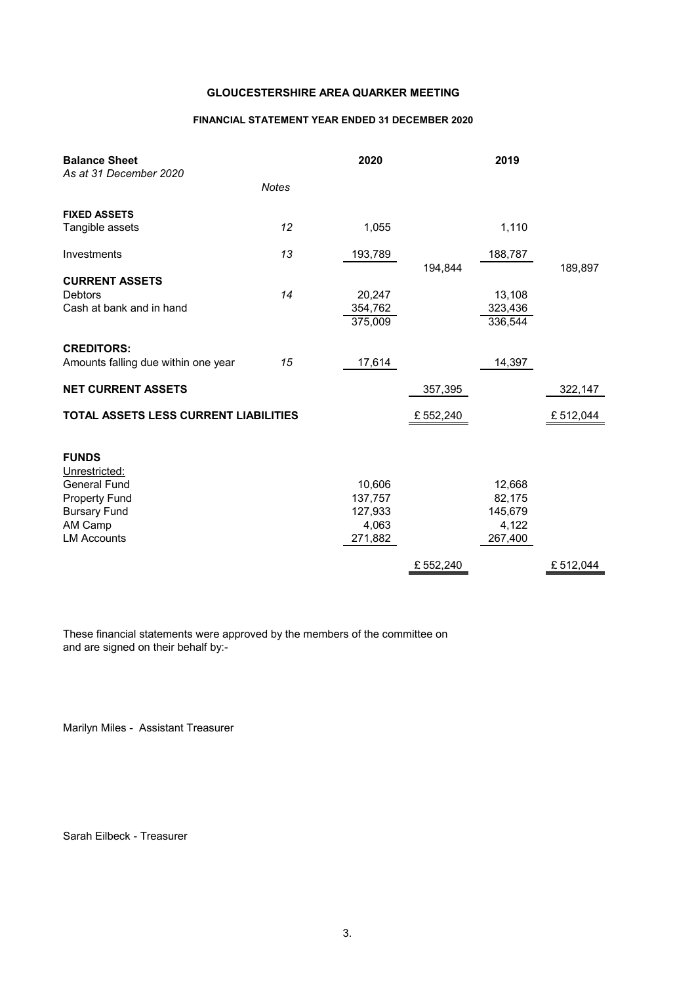### **FINANCIAL STATEMENT YEAR ENDED 31 DECEMBER 2020**

| <b>Balance Sheet</b><br>As at 31 December 2020 |              | 2020             |          | 2019             |          |
|------------------------------------------------|--------------|------------------|----------|------------------|----------|
|                                                | <b>Notes</b> |                  |          |                  |          |
| <b>FIXED ASSETS</b>                            |              |                  |          |                  |          |
| Tangible assets                                | 12           | 1,055            |          | 1,110            |          |
| Investments                                    | 13           | 193,789          | 194,844  | 188,787          | 189,897  |
| <b>CURRENT ASSETS</b>                          |              |                  |          |                  |          |
| <b>Debtors</b>                                 | 14           | 20,247           |          | 13,108           |          |
| Cash at bank and in hand                       |              | 354,762          |          | 323,436          |          |
|                                                |              | 375,009          |          | 336,544          |          |
| <b>CREDITORS:</b>                              |              |                  |          |                  |          |
| Amounts falling due within one year            | 15           | 17,614           |          | 14,397           |          |
| <b>NET CURRENT ASSETS</b>                      |              |                  | 357,395  |                  | 322,147  |
| TOTAL ASSETS LESS CURRENT LIABILITIES          |              |                  | £552,240 |                  | £512,044 |
| <b>FUNDS</b>                                   |              |                  |          |                  |          |
| Unrestricted:                                  |              |                  |          |                  |          |
| <b>General Fund</b>                            |              | 10,606           |          | 12,668           |          |
| <b>Property Fund</b>                           |              | 137,757          |          | 82,175           |          |
| <b>Bursary Fund</b>                            |              | 127,933          |          | 145,679          |          |
| AM Camp<br><b>LM Accounts</b>                  |              | 4,063<br>271,882 |          | 4,122<br>267,400 |          |
|                                                |              |                  |          |                  |          |
|                                                |              |                  | £552,240 |                  | £512,044 |

These financial statements were approved by the members of the committee on and are signed on their behalf by:-

Marilyn Miles - Assistant Treasurer

Sarah Eilbeck - Treasurer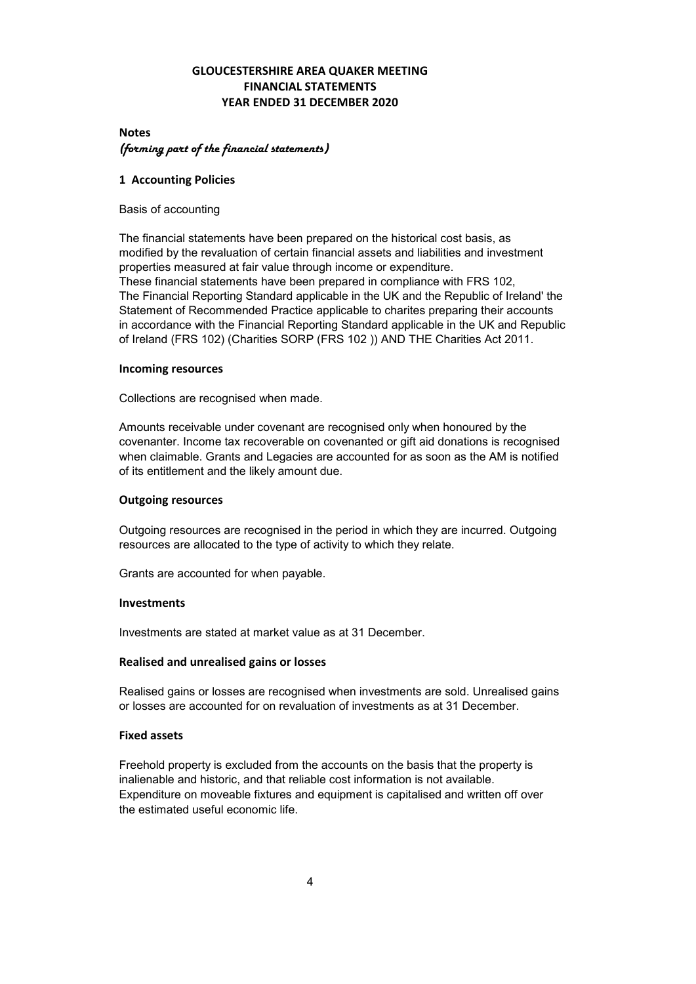### **GLOUCESTERSHIRE AREA QUAKER MEETING FINANCIAL STATEMENTS YEAR ENDED 31 DECEMBER 2020**

### **Notes** (forming part of the financial statements)

### **1 Accounting Policies**

Basis of accounting

The financial statements have been prepared on the historical cost basis, as modified by the revaluation of certain financial assets and liabilities and investment properties measured at fair value through income or expenditure. These financial statements have been prepared in compliance with FRS 102, The Financial Reporting Standard applicable in the UK and the Republic of Ireland' the Statement of Recommended Practice applicable to charites preparing their accounts in accordance with the Financial Reporting Standard applicable in the UK and Republic of Ireland (FRS 102) (Charities SORP (FRS 102 )) AND THE Charities Act 2011.

### **Incoming resources**

Collections are recognised when made.

Amounts receivable under covenant are recognised only when honoured by the covenanter. Income tax recoverable on covenanted or gift aid donations is recognised when claimable. Grants and Legacies are accounted for as soon as the AM is notified of its entitlement and the likely amount due.

### **Outgoing resources**

Outgoing resources are recognised in the period in which they are incurred. Outgoing resources are allocated to the type of activity to which they relate.

Grants are accounted for when payable.

### **Investments**

Investments are stated at market value as at 31 December.

### **Realised and unrealised gains or losses**

Realised gains or losses are recognised when investments are sold. Unrealised gains or losses are accounted for on revaluation of investments as at 31 December.

### **Fixed assets**

Freehold property is excluded from the accounts on the basis that the property is inalienable and historic, and that reliable cost information is not available. Expenditure on moveable fixtures and equipment is capitalised and written off over the estimated useful economic life.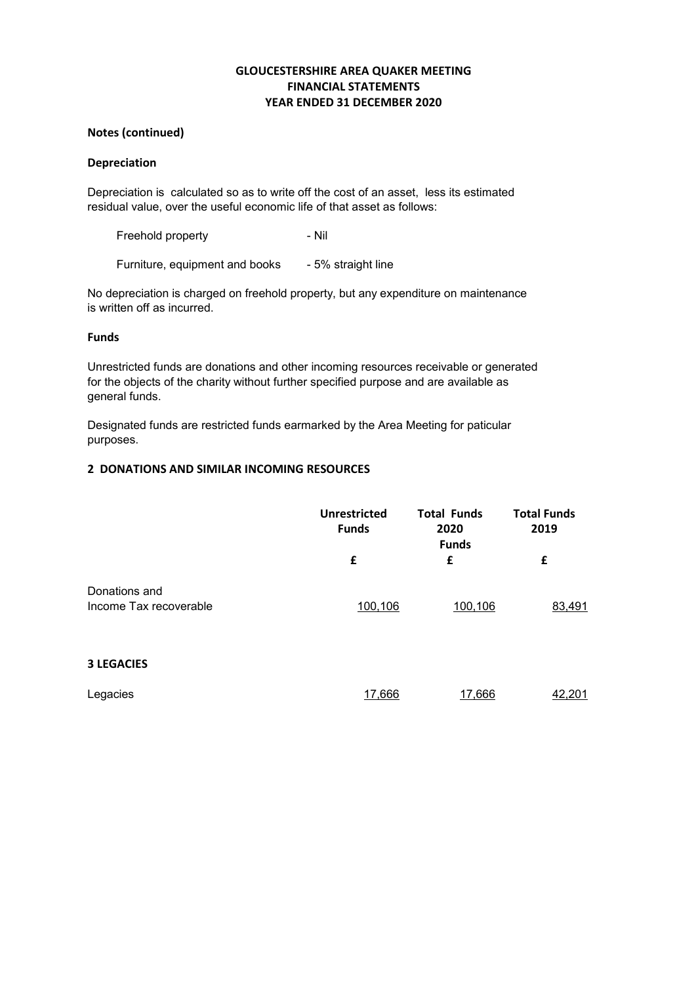### **GLOUCESTERSHIRE AREA QUAKER MEETING FINANCIAL STATEMENTS YEAR ENDED 31 DECEMBER 2020**

### **Notes (continued)**

### **Depreciation**

Depreciation is calculated so as to write off the cost of an asset, less its estimated residual value, over the useful economic life of that asset as follows:

Freehold property **- Nil** 

Furniture, equipment and books - 5% straight line

No depreciation is charged on freehold property, but any expenditure on maintenance is written off as incurred.

### **Funds**

Unrestricted funds are donations and other incoming resources receivable or generated for the objects of the charity without further specified purpose and are available as general funds.

Designated funds are restricted funds earmarked by the Area Meeting for paticular purposes.

### **2 DONATIONS AND SIMILAR INCOMING RESOURCES**

|                                         | Unrestricted<br><b>Funds</b> | <b>Total Funds</b><br>2020<br><b>Funds</b> | <b>Total Funds</b><br>2019 |
|-----------------------------------------|------------------------------|--------------------------------------------|----------------------------|
|                                         | £                            | £                                          | £                          |
| Donations and<br>Income Tax recoverable | 100,106                      | 100,106                                    | 83,491                     |
| <b>3 LEGACIES</b>                       |                              |                                            |                            |
| Legacies                                | 17,666                       | 17,666                                     | 42,201                     |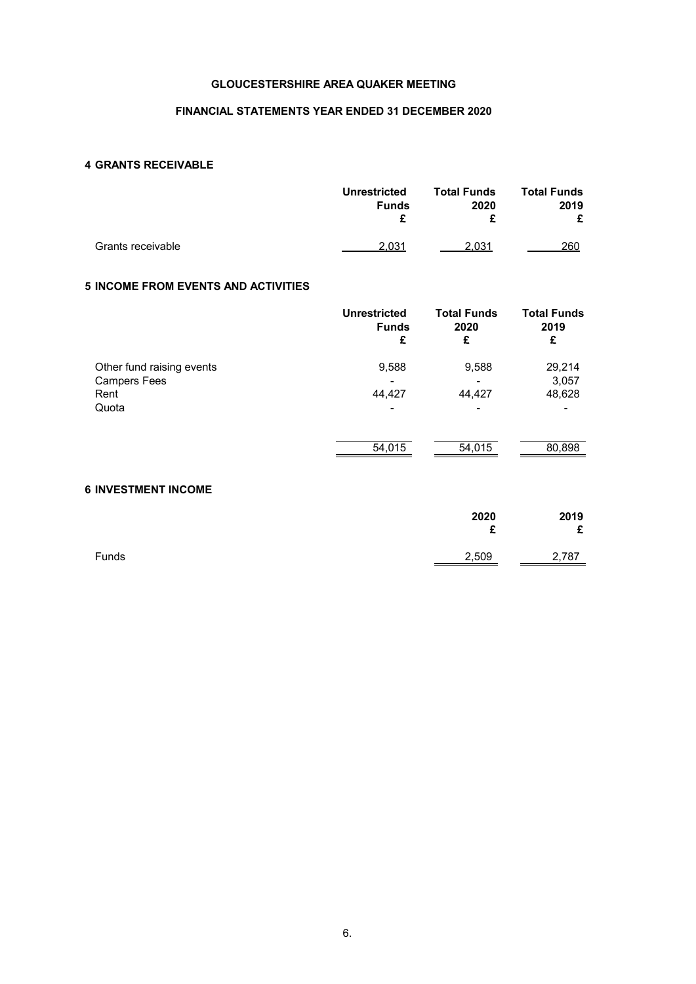### **FINANCIAL STATEMENTS YEAR ENDED 31 DECEMBER 2020**

### **4 GRANTS RECEIVABLE**

|                   | <b>Unrestricted</b><br><b>Funds</b> | <b>Total Funds</b><br>2020<br>c | <b>Total Funds</b><br>2019<br>£ |
|-------------------|-------------------------------------|---------------------------------|---------------------------------|
| Grants receivable | 2.031                               | 2.031                           | 260                             |

### **5 INCOME FROM EVENTS AND ACTIVITIES**

|                             | <b>Unrestricted</b><br><b>Funds</b><br>£ | <b>Total Funds</b><br>2020<br>£ | <b>Total Funds</b><br>2019<br>£ |
|-----------------------------|------------------------------------------|---------------------------------|---------------------------------|
| Other fund raising events   | 9,588                                    | 9,588                           | 29,214                          |
| <b>Campers Fees</b><br>Rent | 44,427                                   | 44,427                          | 3,057<br>48,628                 |
| Quota                       | -                                        | -                               |                                 |
|                             | 54,015                                   | 54,015                          | 80,898                          |

### **6 INVESTMENT INCOME**

|       | 2020<br>c | 2019<br>£ |
|-------|-----------|-----------|
| Funds | 2,509     | 2,787     |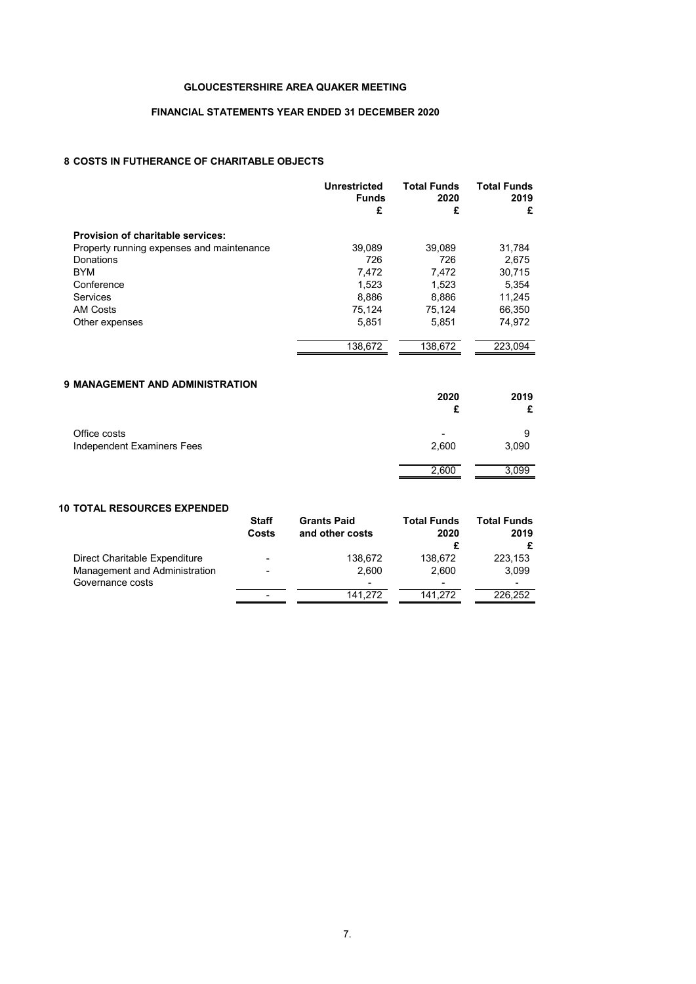### **FINANCIAL STATEMENTS YEAR ENDED 31 DECEMBER 2020**

### **8 COSTS IN FUTHERANCE OF CHARITABLE OBJECTS**

|                                           | <b>Unrestricted</b><br><b>Funds</b><br>£ | <b>Total Funds</b><br>2020<br>£ | <b>Total Funds</b><br>2019<br>£ |
|-------------------------------------------|------------------------------------------|---------------------------------|---------------------------------|
| Provision of charitable services:         |                                          |                                 |                                 |
| Property running expenses and maintenance | 39,089                                   | 39,089                          | 31,784                          |
| Donations                                 | 726                                      | 726                             | 2.675                           |
| <b>BYM</b>                                | 7,472                                    | 7,472                           | 30,715                          |
| Conference                                | 1.523                                    | 1.523                           | 5,354                           |
| Services                                  | 8,886                                    | 8,886                           | 11,245                          |
| <b>AM Costs</b>                           | 75.124                                   | 75.124                          | 66.350                          |
| Other expenses                            | 5.851                                    | 5,851                           | 74,972                          |
|                                           | 138.672                                  | 138.672                         | 223.094                         |

### **9 MANAGEMENT AND ADMINISTRATION**

|                                            | 2020  | 2019       |
|--------------------------------------------|-------|------------|
| Office costs<br>Independent Examiners Fees | 2,600 | 9<br>3,090 |
|                                            | 2,600 | 3,099      |

### **10 TOTAL RESOURCES EXPENDED**

|                                                   | <b>Staff</b><br>Costs    | <b>Grants Paid</b><br>and other costs | <b>Total Funds</b><br>2020 | <b>Total Funds</b><br>2019<br>£ |
|---------------------------------------------------|--------------------------|---------------------------------------|----------------------------|---------------------------------|
| Direct Charitable Expenditure                     | $\overline{\phantom{a}}$ | 138,672                               | 138.672                    | 223,153                         |
| Management and Administration<br>Governance costs | $\overline{\phantom{0}}$ | 2.600<br>$\overline{\phantom{a}}$     | 2.600<br>-                 | 3.099                           |
|                                                   | $\overline{\phantom{0}}$ | 141.272                               | 141.272                    | 226.252                         |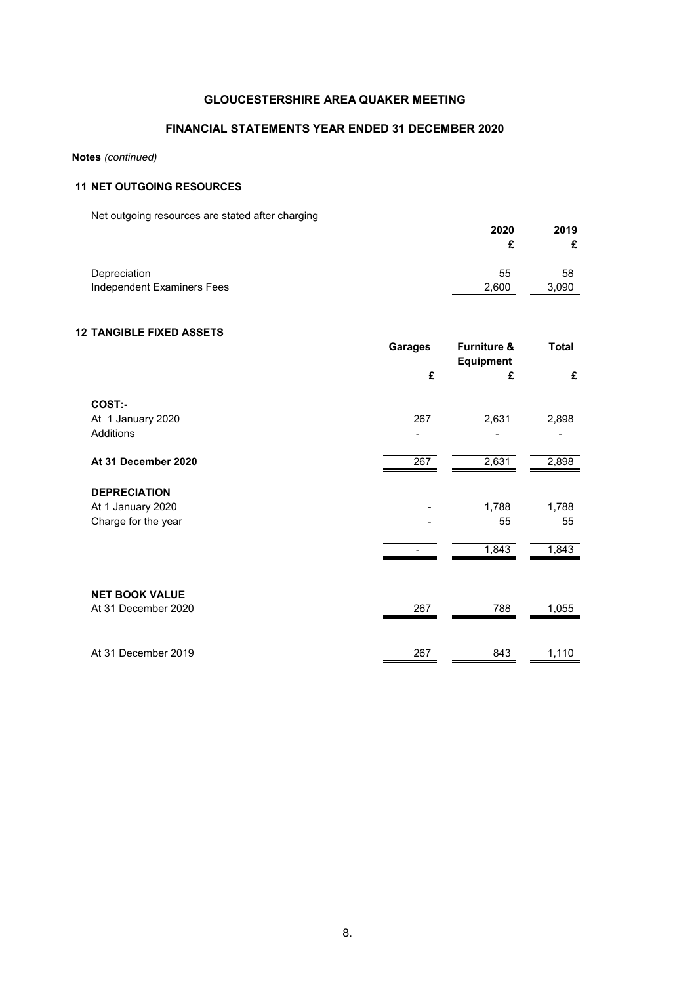### **FINANCIAL STATEMENTS YEAR ENDED 31 DECEMBER 2020**

### **Notes** *(continued)*

### **11 NET OUTGOING RESOURCES**

Net outgoing resources are stated after charging

| The balgoing resources are stated after charging | 2020  | 2019  |
|--------------------------------------------------|-------|-------|
| Depreciation                                     | 55    | 58    |
| Independent Examiners Fees                       | 2,600 | 3,090 |

### **12 TANGIBLE FIXED ASSETS**

|                       | <b>Garages</b> | <b>Furniture &amp;</b><br><b>Equipment</b> | <b>Total</b> |
|-----------------------|----------------|--------------------------------------------|--------------|
|                       | £              | £                                          | £            |
| COST:-                |                |                                            |              |
| At 1 January 2020     | 267            | 2,631                                      | 2,898        |
| Additions             |                |                                            |              |
| At 31 December 2020   | 267            | 2,631                                      | 2,898        |
| <b>DEPRECIATION</b>   |                |                                            |              |
| At 1 January 2020     |                | 1,788                                      | 1,788        |
| Charge for the year   |                | 55                                         | 55           |
|                       |                | 1,843                                      | 1,843        |
|                       |                |                                            |              |
| <b>NET BOOK VALUE</b> |                |                                            |              |
| At 31 December 2020   | 267            | 788                                        | 1,055        |
|                       |                |                                            |              |
| At 31 December 2019   | 267            | 843                                        | 1,110        |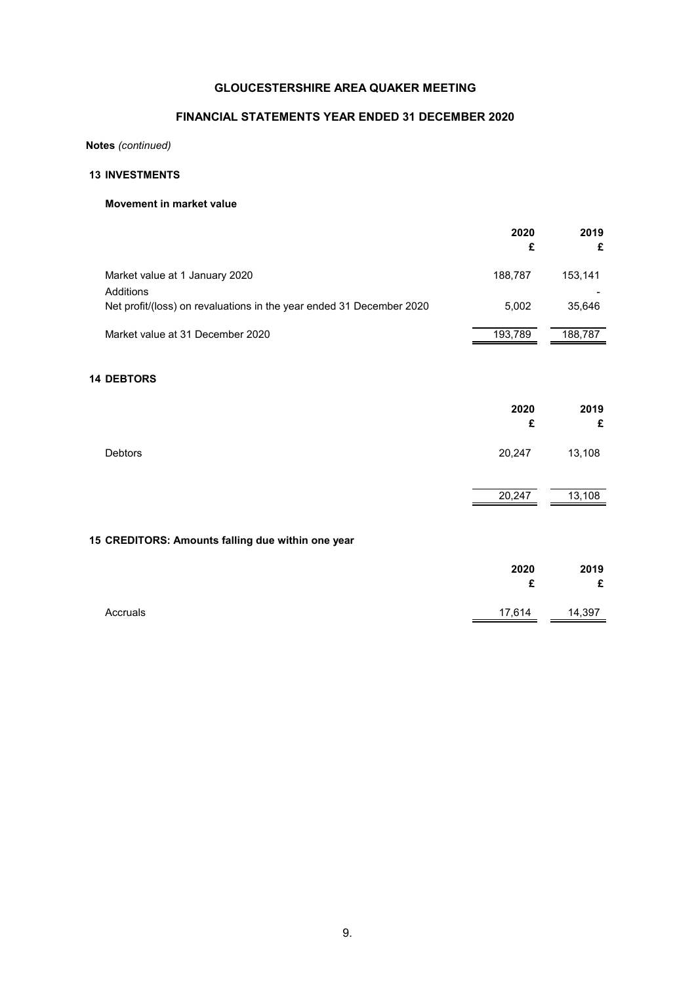### **FINANCIAL STATEMENTS YEAR ENDED 31 DECEMBER 2020**

**Notes** *(continued)*

### **13 INVESTMENTS**

### **Movement in market value**

|                                                                      | 2020<br>£ | 2019<br>£ |
|----------------------------------------------------------------------|-----------|-----------|
| Market value at 1 January 2020<br>Additions                          | 188,787   | 153,141   |
| Net profit/(loss) on revaluations in the year ended 31 December 2020 | 5,002     | 35,646    |
| Market value at 31 December 2020                                     | 193,789   | 188,787   |
| <b>14 DEBTORS</b>                                                    |           |           |
|                                                                      | 2020<br>£ | 2019<br>£ |
| Debtors                                                              | 20,247    | 13,108    |
|                                                                      | 20,247    | 13,108    |
| 15 CREDITORS: Amounts falling due within one year                    |           |           |
|                                                                      | 2020<br>£ | 2019<br>£ |
| Accruals                                                             | 17,614    | 14,397    |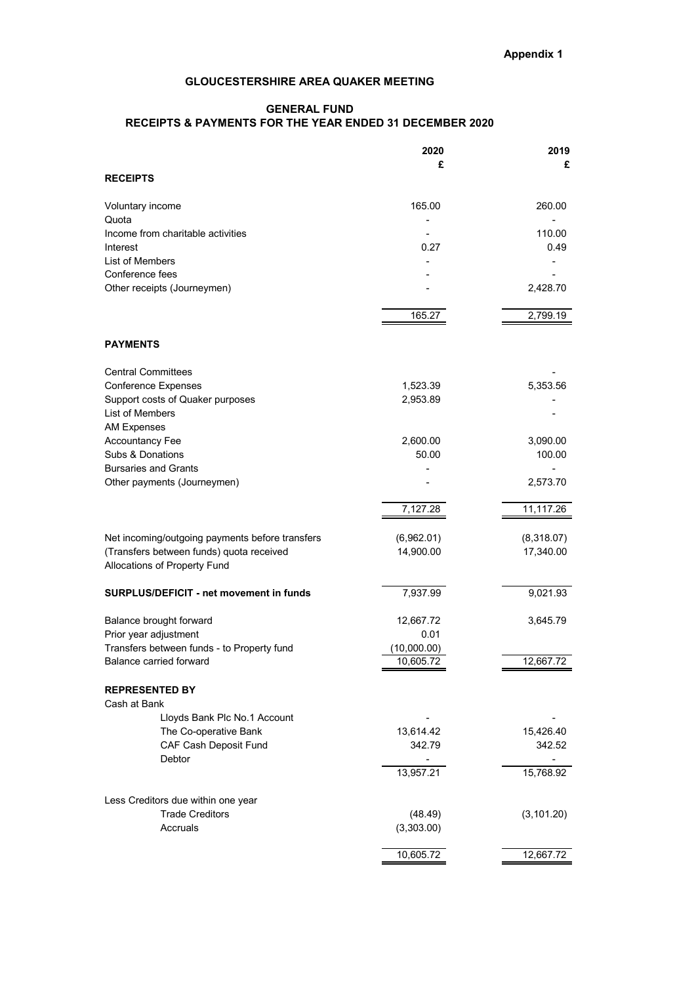### **GENERAL FUND RECEIPTS & PAYMENTS FOR THE YEAR ENDED 31 DECEMBER 2020**

| £<br><b>RECEIPTS</b>                                            | £           |
|-----------------------------------------------------------------|-------------|
|                                                                 |             |
|                                                                 |             |
| 165.00<br>Voluntary income                                      | 260.00      |
| Quota                                                           |             |
| Income from charitable activities                               | 110.00      |
| 0.27<br>Interest                                                | 0.49        |
| List of Members                                                 |             |
| Conference fees                                                 |             |
| Other receipts (Journeymen)                                     | 2,428.70    |
| 165.27                                                          | 2,799.19    |
| <b>PAYMENTS</b>                                                 |             |
|                                                                 |             |
| <b>Central Committees</b>                                       |             |
| <b>Conference Expenses</b><br>1,523.39                          | 5,353.56    |
| Support costs of Quaker purposes<br>2,953.89<br>List of Members |             |
| <b>AM Expenses</b>                                              |             |
| <b>Accountancy Fee</b><br>2,600.00                              | 3,090.00    |
| Subs & Donations<br>50.00                                       | 100.00      |
| <b>Bursaries and Grants</b>                                     |             |
| Other payments (Journeymen)                                     | 2,573.70    |
| 7,127.28                                                        | 11,117.26   |
|                                                                 |             |
| Net incoming/outgoing payments before transfers<br>(6,962.01)   | (8,318.07)  |
| (Transfers between funds) quota received<br>14,900.00           | 17,340.00   |
| Allocations of Property Fund                                    |             |
| <b>SURPLUS/DEFICIT - net movement in funds</b><br>7,937.99      | 9,021.93    |
|                                                                 |             |
| Balance brought forward<br>12,667.72                            | 3,645.79    |
| Prior year adjustment<br>0.01                                   |             |
| Transfers between funds - to Property fund<br>(10,000.00)       |             |
| Balance carried forward<br>10,605.72                            | 12,667.72   |
| <b>REPRESENTED BY</b>                                           |             |
| Cash at Bank                                                    |             |
| Lloyds Bank Plc No.1 Account                                    |             |
| The Co-operative Bank<br>13,614.42                              | 15,426.40   |
| CAF Cash Deposit Fund<br>342.79                                 | 342.52      |
| Debtor<br>13,957.21                                             |             |
|                                                                 | 15,768.92   |
| Less Creditors due within one year                              |             |
| <b>Trade Creditors</b><br>(48.49)                               | (3, 101.20) |
| (3,303.00)<br>Accruals                                          |             |
| 10,605.72                                                       | 12,667.72   |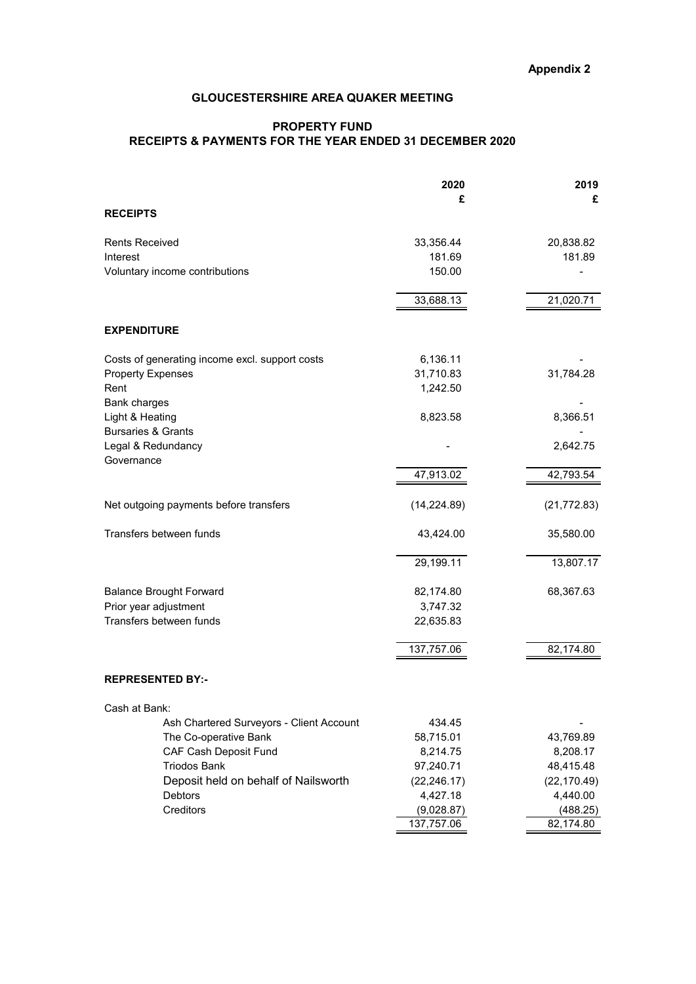### **Appendix 2**

### **GLOUCESTERSHIRE AREA QUAKER MEETING**

### **PROPERTY FUND RECEIPTS & PAYMENTS FOR THE YEAR ENDED 31 DECEMBER 2020**

|                                                           | 2020         | 2019         |
|-----------------------------------------------------------|--------------|--------------|
|                                                           | £            | £            |
| <b>RECEIPTS</b>                                           |              |              |
| <b>Rents Received</b>                                     | 33,356.44    | 20,838.82    |
| Interest                                                  | 181.69       | 181.89       |
| Voluntary income contributions                            | 150.00       |              |
|                                                           | 33,688.13    | 21,020.71    |
|                                                           |              |              |
| <b>EXPENDITURE</b>                                        |              |              |
| Costs of generating income excl. support costs            | 6,136.11     |              |
| <b>Property Expenses</b>                                  | 31,710.83    | 31,784.28    |
| Rent                                                      | 1,242.50     |              |
| Bank charges<br>Light & Heating                           | 8,823.58     | 8,366.51     |
| <b>Bursaries &amp; Grants</b>                             |              |              |
| Legal & Redundancy                                        |              | 2,642.75     |
| Governance                                                |              |              |
|                                                           | 47,913.02    | 42,793.54    |
| Net outgoing payments before transfers                    | (14, 224.89) | (21, 772.83) |
| Transfers between funds                                   | 43,424.00    | 35,580.00    |
|                                                           | 29,199.11    | 13,807.17    |
| <b>Balance Brought Forward</b>                            | 82,174.80    | 68,367.63    |
| Prior year adjustment                                     | 3,747.32     |              |
| Transfers between funds                                   | 22,635.83    |              |
|                                                           | 137,757.06   | 82,174.80    |
| <b>REPRESENTED BY:-</b>                                   |              |              |
|                                                           |              |              |
| Cash at Bank:<br>Ash Chartered Surveyors - Client Account | 434.45       |              |
| The Co-operative Bank                                     | 58,715.01    | 43,769.89    |
| CAF Cash Deposit Fund                                     | 8,214.75     | 8,208.17     |
| <b>Triodos Bank</b>                                       | 97,240.71    | 48,415.48    |
| Deposit held on behalf of Nailsworth                      | (22, 246.17) | (22, 170.49) |
| Debtors                                                   | 4,427.18     | 4,440.00     |
| Creditors                                                 | (9,028.87)   | (488.25)     |
|                                                           | 137,757.06   | 82,174.80    |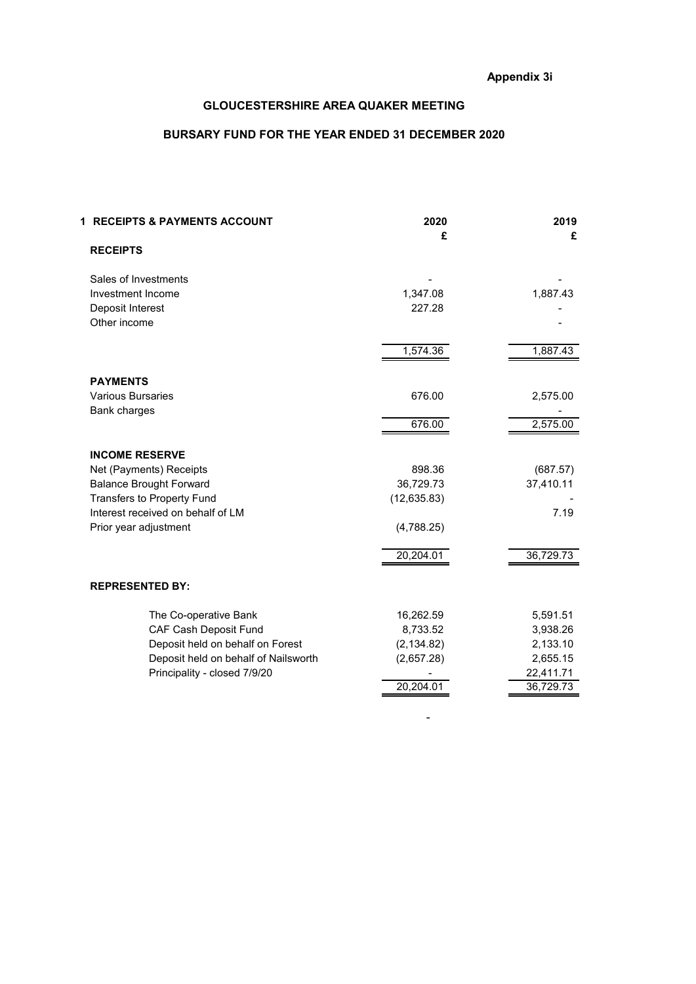### **BURSARY FUND FOR THE YEAR ENDED 31 DECEMBER 2020**

| 1 RECEIPTS & PAYMENTS ACCOUNT        | 2020<br>£    | 2019<br>£ |
|--------------------------------------|--------------|-----------|
| <b>RECEIPTS</b>                      |              |           |
| Sales of Investments                 |              |           |
| Investment Income                    | 1,347.08     | 1,887.43  |
| Deposit Interest                     | 227.28       |           |
| Other income                         |              |           |
|                                      | 1,574.36     | 1,887.43  |
| <b>PAYMENTS</b>                      |              |           |
| <b>Various Bursaries</b>             | 676.00       | 2,575.00  |
| Bank charges                         |              |           |
|                                      | 676.00       | 2,575.00  |
| <b>INCOME RESERVE</b>                |              |           |
| Net (Payments) Receipts              | 898.36       | (687.57)  |
| <b>Balance Brought Forward</b>       | 36,729.73    | 37,410.11 |
| Transfers to Property Fund           | (12, 635.83) |           |
| Interest received on behalf of LM    |              | 7.19      |
| Prior year adjustment                | (4,788.25)   |           |
|                                      | 20,204.01    | 36,729.73 |
| <b>REPRESENTED BY:</b>               |              |           |
| The Co-operative Bank                | 16,262.59    | 5,591.51  |
| CAF Cash Deposit Fund                | 8,733.52     | 3,938.26  |
| Deposit held on behalf on Forest     | (2, 134.82)  | 2,133.10  |
| Deposit held on behalf of Nailsworth | (2,657.28)   | 2,655.15  |
| Principality - closed 7/9/20         |              | 22,411.71 |
|                                      | 20,204.01    | 36,729.73 |

-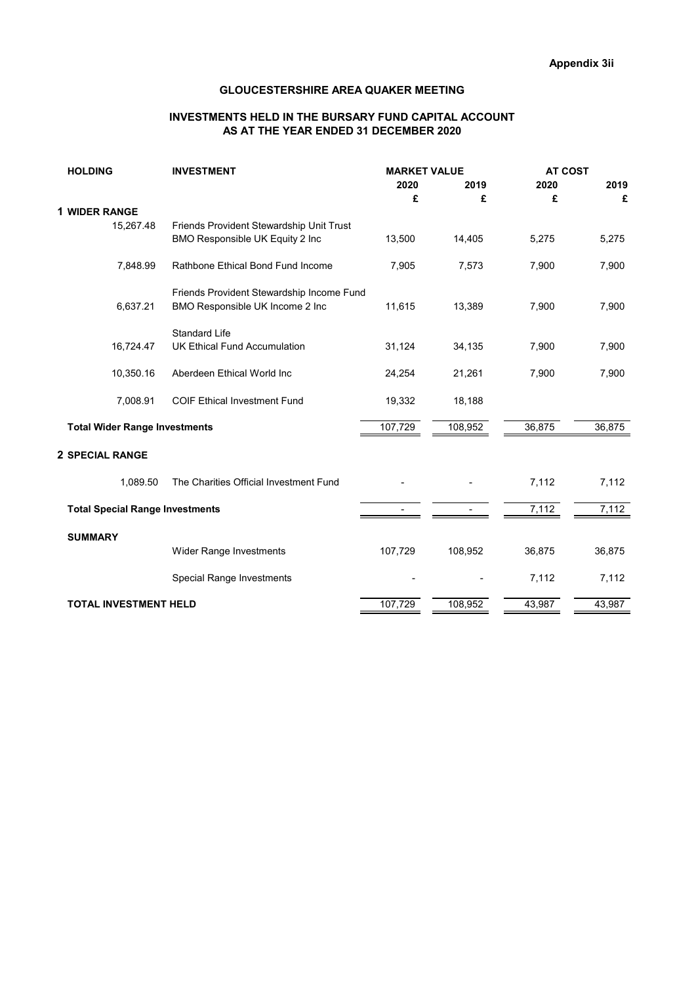### **INVESTMENTS HELD IN THE BURSARY FUND CAPITAL ACCOUNT AS AT THE YEAR ENDED 31 DECEMBER 2020**

| <b>HOLDING</b>                         | <b>INVESTMENT</b>                         | <b>MARKET VALUE</b> |         | <b>AT COST</b> |        |
|----------------------------------------|-------------------------------------------|---------------------|---------|----------------|--------|
|                                        |                                           | 2020                | 2019    | 2020           | 2019   |
|                                        |                                           | £                   | £       | £              | £      |
| <b>1 WIDER RANGE</b>                   |                                           |                     |         |                |        |
| 15,267.48                              | Friends Provident Stewardship Unit Trust  |                     |         |                |        |
|                                        | BMO Responsible UK Equity 2 Inc           | 13,500              | 14,405  | 5,275          | 5,275  |
| 7,848.99                               | Rathbone Ethical Bond Fund Income         | 7,905               | 7,573   | 7,900          | 7,900  |
|                                        | Friends Provident Stewardship Income Fund |                     |         |                |        |
| 6,637.21                               | BMO Responsible UK Income 2 Inc           | 11,615              | 13,389  | 7,900          | 7,900  |
|                                        | <b>Standard Life</b>                      |                     |         |                |        |
| 16,724.47                              | <b>UK Ethical Fund Accumulation</b>       | 31,124              | 34,135  | 7,900          | 7,900  |
| 10,350.16                              | Aberdeen Ethical World Inc                | 24,254              | 21,261  | 7,900          | 7,900  |
| 7,008.91                               | COIF Ethical Investment Fund              | 19,332              | 18,188  |                |        |
| <b>Total Wider Range Investments</b>   |                                           | 107,729             | 108,952 | 36,875         | 36,875 |
| <b>2 SPECIAL RANGE</b>                 |                                           |                     |         |                |        |
| 1.089.50                               | The Charities Official Investment Fund    |                     |         | 7,112          | 7,112  |
| <b>Total Special Range Investments</b> |                                           |                     |         | 7,112          | 7,112  |
| <b>SUMMARY</b>                         |                                           |                     |         |                |        |
|                                        | Wider Range Investments                   | 107,729             | 108,952 | 36,875         | 36,875 |
|                                        | Special Range Investments                 |                     |         | 7,112          | 7,112  |
| <b>TOTAL INVESTMENT HELD</b>           |                                           | 107,729             | 108,952 | 43,987         | 43,987 |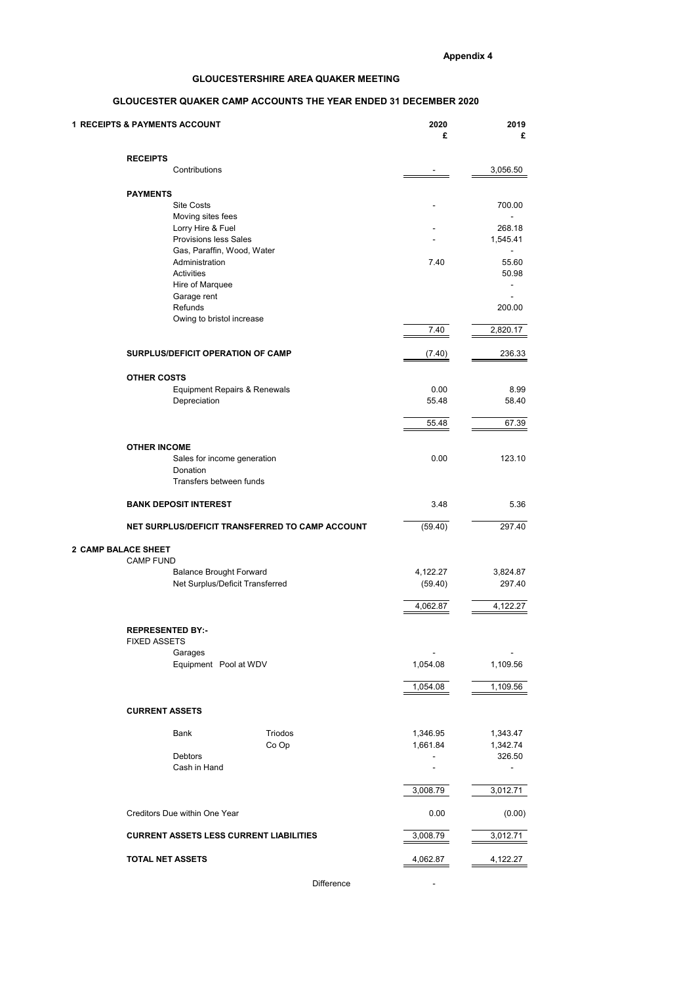### **GLOUCESTER QUAKER CAMP ACCOUNTS THE YEAR ENDED 31 DECEMBER 2020**

| <b>1 RECEIPTS &amp; PAYMENTS ACCOUNT</b>                          | 2020                     | 2019                     |
|-------------------------------------------------------------------|--------------------------|--------------------------|
|                                                                   | £                        | £                        |
| <b>RECEIPTS</b>                                                   |                          |                          |
| Contributions                                                     |                          | 3,056.50                 |
| <b>PAYMENTS</b>                                                   |                          |                          |
| <b>Site Costs</b>                                                 |                          | 700.00                   |
| Moving sites fees                                                 |                          |                          |
| Lorry Hire & Fuel<br><b>Provisions less Sales</b>                 |                          | 268.18<br>1,545.41       |
| Gas, Paraffin, Wood, Water                                        |                          | $\overline{\phantom{a}}$ |
| Administration                                                    | 7.40                     | 55.60                    |
| Activities<br>Hire of Marquee                                     |                          | 50.98<br>٠               |
| Garage rent                                                       |                          |                          |
| Refunds                                                           |                          | 200.00                   |
| Owing to bristol increase                                         | 7.40                     | 2,820.17                 |
|                                                                   |                          |                          |
| SURPLUS/DEFICIT OPERATION OF CAMP                                 | (7.40)                   | 236.33                   |
|                                                                   |                          |                          |
| <b>OTHER COSTS</b><br><b>Equipment Repairs &amp; Renewals</b>     | 0.00                     | 8.99                     |
| Depreciation                                                      | 55.48                    | 58.40                    |
|                                                                   |                          |                          |
|                                                                   | 55.48                    | 67.39                    |
| <b>OTHER INCOME</b>                                               |                          |                          |
| Sales for income generation                                       | 0.00                     | 123.10                   |
| Donation<br>Transfers between funds                               |                          |                          |
|                                                                   |                          |                          |
| <b>BANK DEPOSIT INTEREST</b>                                      | 3.48                     | 5.36                     |
| NET SURPLUS/DEFICIT TRANSFERRED TO CAMP ACCOUNT                   | (59.40)                  | 297.40                   |
| 2 CAMP BALACE SHEET                                               |                          |                          |
| <b>CAMP FUND</b>                                                  |                          |                          |
| <b>Balance Brought Forward</b><br>Net Surplus/Deficit Transferred | 4,122.27<br>(59.40)      | 3,824.87<br>297.40       |
|                                                                   |                          |                          |
|                                                                   | 4,062.87                 | 4,122.27                 |
| <b>REPRESENTED BY:-</b>                                           |                          |                          |
| <b>FIXED ASSETS</b>                                               |                          |                          |
| Garages                                                           | $\overline{\phantom{a}}$ |                          |
| Equipment Pool at WDV                                             | 1,054.08                 | 1,109.56                 |
|                                                                   | 1,054.08                 | 1,109.56                 |
|                                                                   |                          |                          |
| <b>CURRENT ASSETS</b>                                             |                          |                          |
| Triodos<br>Bank                                                   | 1,346.95                 | 1,343.47                 |
| Co Op                                                             | 1,661.84                 | 1,342.74                 |
| Debtors<br>Cash in Hand                                           | ÷,<br>÷,                 | 326.50                   |
|                                                                   |                          |                          |
|                                                                   | 3,008.79                 | 3,012.71                 |
| Creditors Due within One Year                                     | 0.00                     | (0.00)                   |
|                                                                   |                          |                          |
| <b>CURRENT ASSETS LESS CURRENT LIABILITIES</b>                    | 3,008.79                 | 3,012.71                 |
|                                                                   |                          |                          |
| <b>TOTAL NET ASSETS</b>                                           | 4,062.87                 | 4,122.27                 |
| Difference                                                        |                          |                          |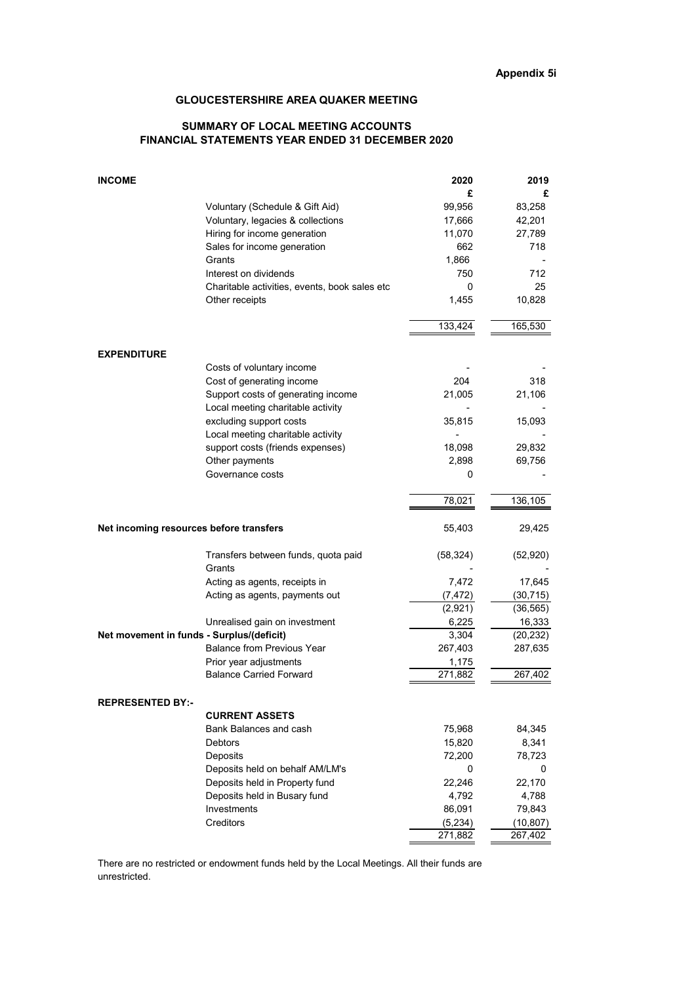### **SUMMARY OF LOCAL MEETING ACCOUNTS FINANCIAL STATEMENTS YEAR ENDED 31 DECEMBER 2020**

| <b>INCOME</b>                             |                                               | 2020      | 2019      |
|-------------------------------------------|-----------------------------------------------|-----------|-----------|
|                                           |                                               | £         | £         |
|                                           | Voluntary (Schedule & Gift Aid)               | 99,956    | 83,258    |
|                                           | Voluntary, legacies & collections             | 17,666    | 42,201    |
|                                           | Hiring for income generation                  | 11,070    | 27,789    |
|                                           | Sales for income generation                   | 662       | 718       |
|                                           | Grants                                        | 1,866     |           |
|                                           | Interest on dividends                         | 750       | 712       |
|                                           | Charitable activities, events, book sales etc | 0         | 25        |
|                                           | Other receipts                                | 1,455     | 10,828    |
|                                           |                                               | 133,424   | 165,530   |
| <b>EXPENDITURE</b>                        |                                               |           |           |
|                                           | Costs of voluntary income                     |           |           |
|                                           | Cost of generating income                     | 204       | 318       |
|                                           | Support costs of generating income            | 21,005    | 21,106    |
|                                           | Local meeting charitable activity             |           |           |
|                                           | excluding support costs                       | 35,815    | 15,093    |
|                                           | Local meeting charitable activity             |           |           |
|                                           | support costs (friends expenses)              | 18,098    | 29,832    |
|                                           | Other payments                                | 2,898     | 69,756    |
|                                           | Governance costs                              | 0         |           |
|                                           |                                               | 78,021    | 136,105   |
| Net incoming resources before transfers   |                                               | 55,403    | 29,425    |
|                                           | Transfers between funds, quota paid           | (58, 324) | (52, 920) |
|                                           | Grants                                        |           |           |
|                                           | Acting as agents, receipts in                 | 7,472     | 17,645    |
|                                           | Acting as agents, payments out                | (7, 472)  | (30, 715) |
|                                           |                                               | (2,921)   | (36, 565) |
|                                           | Unrealised gain on investment                 | 6,225     | 16,333    |
| Net movement in funds - Surplus/(deficit) |                                               | 3,304     | (20, 232) |
|                                           | <b>Balance from Previous Year</b>             | 267,403   | 287,635   |
|                                           | Prior year adjustments                        | 1,175     |           |
|                                           | <b>Balance Carried Forward</b>                | 271,882   | 267,402   |
| <b>REPRESENTED BY:-</b>                   |                                               |           |           |
|                                           | <b>CURRENT ASSETS</b>                         |           |           |
|                                           | Bank Balances and cash                        | 75,968    | 84,345    |
|                                           | <b>Debtors</b>                                | 15,820    | 8,341     |
|                                           | Deposits                                      | 72,200    | 78,723    |
|                                           | Deposits held on behalf AM/LM's               | 0         | 0         |
|                                           | Deposits held in Property fund                | 22,246    | 22,170    |
|                                           | Deposits held in Busary fund                  | 4,792     | 4,788     |
|                                           | Investments                                   | 86,091    | 79,843    |
|                                           | Creditors                                     | (5,234)   | (10, 807) |
|                                           |                                               | 271,882   | 267,402   |

There are no restricted or endowment funds held by the Local Meetings. All their funds are unrestricted.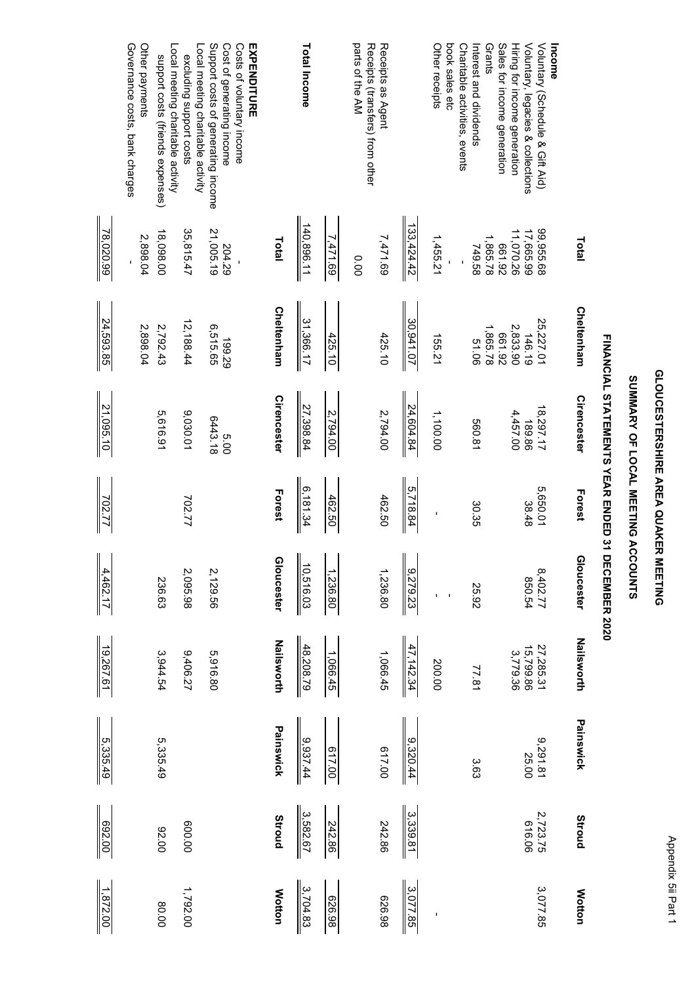| l            |
|--------------|
|              |
|              |
|              |
|              |
|              |
|              |
| I            |
|              |
| i            |
|              |
|              |
| I            |
|              |
|              |
|              |
|              |
| <b>STATE</b> |
|              |
|              |
|              |
|              |

### SUMMARY OF LOCAL MEETING ACCOUNTS **SUMMARY OF LOCAL MEETING ACCOUNTS**

# FINANCIAL STATEMENTS YEAR ENDED 31 DECEMBER 2020 **FINANCIAL STATEMENTS YEAR ENDED 31 DECEMBER 2020**

|                                                                                                                           |                        |                                 | <b>TIMARANO IN TERMITAL OF STATES</b> | こりよく ロミクワウ シーフ | <b>LYNDUN YAY</b>        |                                    |                   |                    |               |
|---------------------------------------------------------------------------------------------------------------------------|------------------------|---------------------------------|---------------------------------------|----------------|--------------------------|------------------------------------|-------------------|--------------------|---------------|
|                                                                                                                           | Total                  | Cheltenham                      | Cirencester                           | Forest         | Gloucester               | <b>Nailsworth</b>                  | Painswick         | Stroud             | <b>Motton</b> |
| Voluntary (Schedule & Gift Aid)<br>Income                                                                                 | 99,955.68              |                                 | 18,297.17                             | 5,650.01       |                          |                                    |                   |                    | 3,077.85      |
| Hiring for income generation<br>Voluntary, legacies & collections                                                         | 17,665.99<br>11,070.26 | 25,227.01<br>146.19<br>2,833.90 | 4,457.00<br>189.86                    | 38.48          | 8,402.77<br>850.54       | 27,285.31<br>15,799.86<br>3,779.36 | 9,291.81<br>25.00 | 2,723.75<br>616.06 |               |
| Sales for income generation                                                                                               | 661.92                 | 661.92                          |                                       |                |                          |                                    |                   |                    |               |
| Interest and dividends<br>Grants                                                                                          | 1,865.78<br>749.58     | 1,865.78<br>90.15               | 560.81                                | 30.35          | 25.92                    | 77.81                              | 3.63              |                    |               |
| Charitable activities, events                                                                                             |                        |                                 |                                       |                |                          |                                    |                   |                    |               |
| Other receipts<br>book sales etc                                                                                          | 1,455.21               | 155.21                          | 1,100.00                              |                | $\blacksquare$           | 200.00                             |                   |                    |               |
|                                                                                                                           | 133,424.42             | 30,941.07                       | 24,604.84                             | 5,718.84       | 9,279.23                 | 47,142.34                          | 9,320.44          | 3,339.81           | 3,077.85      |
| Receipts as Agent                                                                                                         | 7,471.69               | 425.10                          | 2,794.00                              | 462.50         | 1,236.80                 | 1,066.45                           | 017.00            | 242.86             | 86.95         |
| parts of the AM<br>Receipts (transfers) from other                                                                        | 0.00                   |                                 |                                       |                |                          |                                    |                   |                    |               |
|                                                                                                                           | 7,471.69               | 425.10                          | 2,794.00                              | 462.50         | 1,236.80                 | 1,066.45                           | 617.00            | 242.86             | 626.98        |
| Total Income                                                                                                              | 140,896.11             | 31,366.17                       | 27,398.84                             | 6,181.34       | $\mathbf I$<br>10,516.03 | 48,208.79                          | 9,937.44          | 3,582.67           | 3,704.83      |
|                                                                                                                           | Total                  | Cheltenham                      | Cirencester                           | Forest         | <b>Gloucester</b>        | <b>Nailsworth</b>                  | Painswick         | <b>Stroud</b>      | <b>Motton</b> |
| Support costs of generating income<br>Cost of generating income<br>Costs of voluntary income<br>EXPENDITURE               | 21,005.19<br>204.29    | 6,515.65<br>199.29              | 6443.18<br>00'S                       |                | 2,129.56                 | 5,916.80                           |                   |                    |               |
| Local meeting charitable activity<br>excluding support costs                                                              | 35,815.47              | 12,188.44                       | 9,030.01                              | 702.77         | 2,095.98                 | 9,406.27                           |                   | 00.008             | 1,792.00      |
| Governance costs, bank charges<br>Other payments<br>Local meeting charitable activity<br>support costs (friends expenses) | 18,098.00<br>2,898.04  | 2,792.43<br>2,898.04            | 5,616.91                              |                | 236.63                   | 3,944.54                           | 5,335.49          | 00'76              | 00'08         |
|                                                                                                                           | 78,020.99              | 24,593.85                       | 21,095.10                             | 702.77         | 4,462.17                 | 19,267.61                          | 5,335.49          | 00'769             | 1,872.00      |